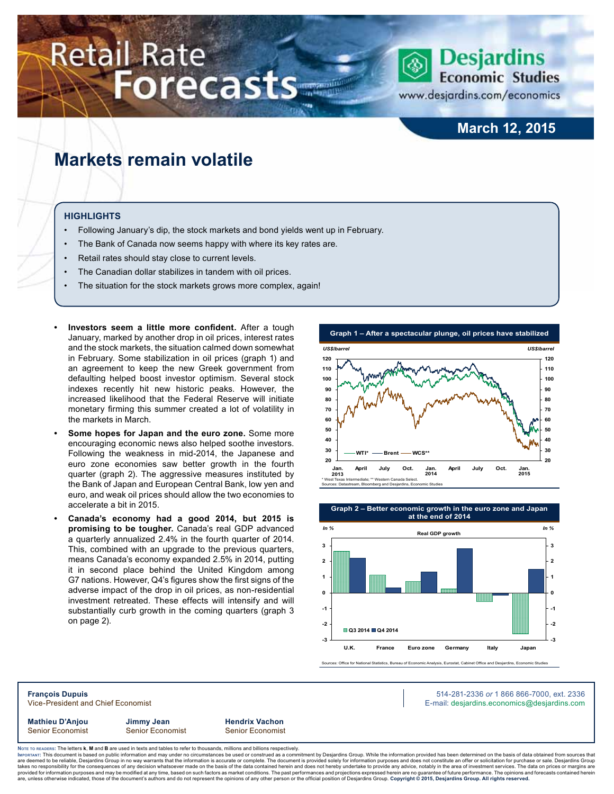# **Retail Rate Forecasts**



www.desjardins.com/economics

## **March 12, 2015**

# **Markets remain volatile**

#### **Highlights**

- Following January's dip, the stock markets and bond yields went up in February.
- The Bank of Canada now seems happy with where its key rates are.
- Retail rates should stay close to current levels.
- The Canadian dollar stabilizes in tandem with oil prices.
- The situation for the stock markets grows more complex, again!
- **Investors** seem a little more confident. After a tough January, marked by another drop in oil prices, interest rates and the stock markets, the situation calmed down somewhat in February. Some stabilization in oil prices (graph 1) and an agreement to keep the new Greek government from defaulting helped boost investor optimism. Several stock indexes recently hit new historic peaks. However, the increased likelihood that the Federal Reserve will initiate monetary firming this summer created a lot of volatility in the markets in March.
- **Some hopes for Japan and the euro zone.** Some more encouraging economic news also helped soothe investors. Following the weakness in mid-2014, the Japanese and euro zone economies saw better growth in the fourth quarter (graph 2). The aggressive measures instituted by the Bank of Japan and European Central Bank, low yen and euro, and weak oil prices should allow the two economies to accelerate a bit in 2015.
- **• Canada's economy had a good 2014, but 2015 is promising to be tougher.** Canada's real GDP advanced a quarterly annualized 2.4% in the fourth quarter of 2014. This, combined with an upgrade to the previous quarters, means Canada's economy expanded 2.5% in 2014, putting it in second place behind the United Kingdom among G7 nations. However, Q4's figures show the first signs of the adverse impact of the drop in oil prices, as non-residential investment retreated. These effects will intensify and will substantially curb growth in the coming quarters (graph 3 on page 2).





Sources: Office for National Statistics, Bureau of Economic Analysis, Eurostat, Cabinet Office and Desjardins, Economic Studies

**François Dupuis** 514-281-2336 *or* 1 866 866-7000, ext. 2336 Vice-President and Chief Economist **E-mail: designediate and Chief Economist** E-mail: designediate economics@desjardins.com

**Mathieu D'Anjou Jimmy Jean Hendrix Vachon**

Senior Economist Senior Economist Senior Economist

Noте то келоекs: The letters **k, M** and **B** are used in texts and tables to refer to thousands, millions and billions respectively.<br>Імроктлит: This document is based on public information and may under no circumstances be are deemed to be reliable, Desjardins Group in no way warrants that the information is accurate or complete. The document is provided solely for information purposes and does not constitute an offer or solicitation for pur takes no responsibility for the consequences of any decision whatsoever made on the basis of the data contained herein and does not hereby undertake to provide any advice, notably in the area of investment services. The da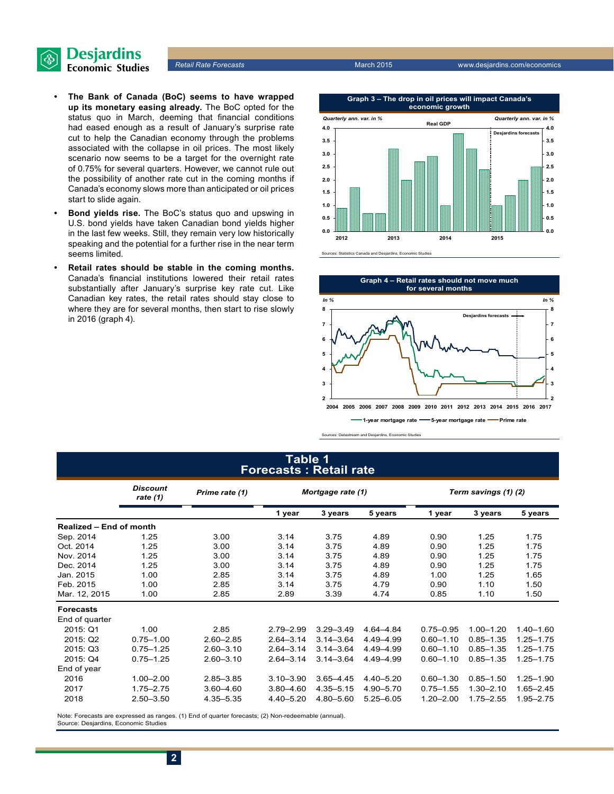

- **• The Bank of Canada (BoC) seems to have wrapped up its monetary easing already.** The BoC opted for the status quo in March, deeming that financial conditions had eased enough as a result of January's surprise rate cut to help the Canadian economy through the problems associated with the collapse in oil prices. The most likely scenario now seems to be a target for the overnight rate of 0.75% for several quarters. However, we cannot rule out the possibility of another rate cut in the coming months if Canada's economy slows more than anticipated or oil prices start to slide again.
- **• Bond yields rise.** The BoC's status quo and upswing in U.S. bond yields have taken Canadian bond yields higher in the last few weeks. Still, they remain very low historically speaking and the potential for a further rise in the near term seems limited.
- **Retail rates should be stable in the coming months.** Canada's financial institutions lowered their retail rates substantially after January's surprise key rate cut. Like Canadian key rates, the retail rates should stay close to where they are for several months, then start to rise slowly in 2016 (graph 4).

**Retail Rate Forecasts** March 2015 **March 2015** www.desjardins.com/economics



es: Statistics Canada and Desjardins, Economic Studies



Sources: Datastream and Desjardins, Economic Studies

#### **Table 1 Forecasts : Retail rate**

|                         | <b>Discount</b><br>rate $(1)$ | Prime rate (1) | Mortgage rate (1) |               | Term savings (1) (2) |               |               |               |
|-------------------------|-------------------------------|----------------|-------------------|---------------|----------------------|---------------|---------------|---------------|
|                         |                               |                | 1 year            | 3 years       | 5 years              | 1 year        | 3 years       | 5 years       |
| Realized - End of month |                               |                |                   |               |                      |               |               |               |
| Sep. 2014               | 1.25                          | 3.00           | 3.14              | 3.75          | 4.89                 | 0.90          | 1.25          | 1.75          |
| Oct. 2014               | 1.25                          | 3.00           | 3.14              | 3.75          | 4.89                 | 0.90          | 1.25          | 1.75          |
| Nov. 2014               | 1.25                          | 3.00           | 3.14              | 3.75          | 4.89                 | 0.90          | 1.25          | 1.75          |
| Dec. 2014               | 1.25<br>3.00                  |                | 3.14              | 3.75          | 4.89                 | 0.90          | 1.25          | 1.75          |
| Jan. 2015               | 1.00                          | 2.85           | 3.14              | 3.75          | 4.89                 | 1.00          | 1.25          | 1.65          |
| Feb. 2015               | 1.00                          | 2.85           | 3.14              | 3.75          | 4.79                 | 0.90          | 1.10          | 1.50          |
| Mar. 12, 2015           | 1.00                          | 2.85           | 2.89              | 3.39          | 4.74                 | 0.85          | 1.10          | 1.50          |
| <b>Forecasts</b>        |                               |                |                   |               |                      |               |               |               |
| End of quarter          |                               |                |                   |               |                      |               |               |               |
| 2015: Q1                | 1.00                          | 2.85           | $2.79 - 2.99$     | $3.29 - 3.49$ | 4.64-4.84            | $0.75 - 0.95$ | $1.00 - 1.20$ | $1.40 - 1.60$ |
| 2015: Q2                | $0.75 - 1.00$                 | $2.60 - 2.85$  | $2.64 - 3.14$     | $3.14 - 3.64$ | 4.49-4.99            | $0.60 - 1.10$ | $0.85 - 1.35$ | $1.25 - 1.75$ |
| 2015: Q3                | $0.75 - 1.25$                 | $2.60 - 3.10$  | $2.64 - 3.14$     | $3.14 - 3.64$ | 4.49-4.99            | $0.60 - 1.10$ | $0.85 - 1.35$ | $1.25 - 1.75$ |
| 2015: Q4                | $0.75 - 1.25$                 | $2.60 - 3.10$  | $2.64 - 3.14$     | $3.14 - 3.64$ | 4.49 - 4.99          | $0.60 - 1.10$ | $0.85 - 1.35$ | $1.25 - 1.75$ |
| End of year             |                               |                |                   |               |                      |               |               |               |
| 2016                    | $1.00 - 2.00$                 | $2.85 - 3.85$  | $3.10 - 3.90$     | $3.65 - 4.45$ | $4.40 - 5.20$        | $0.60 - 1.30$ | $0.85 - 1.50$ | $1.25 - 1.90$ |
| 2017                    | $1.75 - 2.75$                 | $3.60 - 4.60$  | $3.80 - 4.60$     | $4.35 - 5.15$ | 4.90 - 5.70          | $0.75 - 1.55$ | $1.30 - 2.10$ | 1.65-2.45     |
| 2018                    | $2.50 - 3.50$                 | 4.35-5.35      | $4.40 - 5.20$     | 4.80-5.60     | $5.25 - 6.05$        | $1.20 - 2.00$ | $1.75 - 2.55$ | 1.95-2.75     |

Note: Forecasts are expressed as ranges. (1) End of quarter forecasts; (2) Non-redeemable (annual). Source: Desjardins, Economic Studies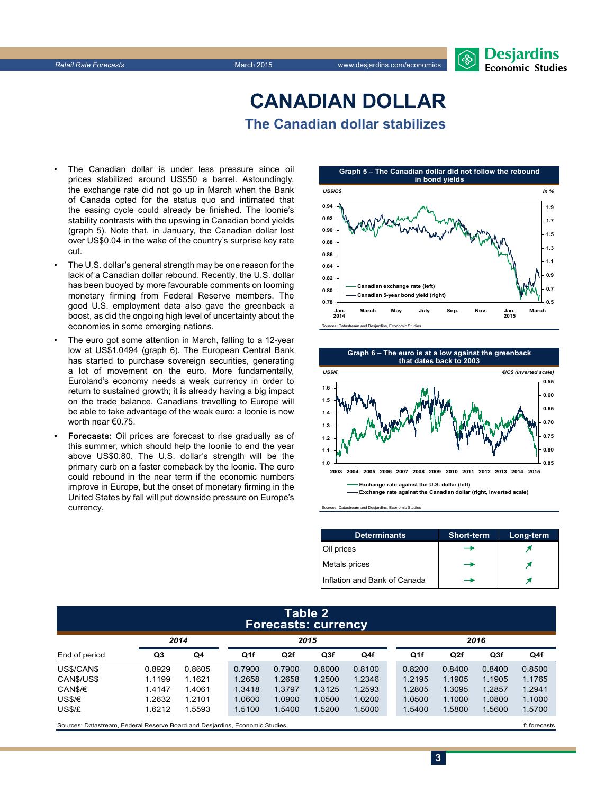

# **CanadiAn Dollar The Canadian dollar stabilizes**

- The Canadian dollar is under less pressure since oil prices stabilized around US\$50 a barrel. Astoundingly, the exchange rate did not go up in March when the Bank of Canada opted for the status quo and intimated that the easing cycle could already be finished. The loonie's stability contrasts with the upswing in Canadian bond yields (graph 5). Note that, in January, the Canadian dollar lost over US\$0.04 in the wake of the country's surprise key rate cut.
- The U.S. dollar's general strength may be one reason for the lack of a Canadian dollar rebound. Recently, the U.S. dollar has been buoyed by more favourable comments on looming monetary firming from Federal Reserve members. The good U.S. employment data also gave the greenback a boost, as did the ongoing high level of uncertainty about the economies in some emerging nations.
- The euro got some attention in March, falling to a 12-year low at US\$1.0494 (graph 6). The European Central Bank has started to purchase sovereign securities, generating a lot of movement on the euro. More fundamentally, Euroland's economy needs a weak currency in order to return to sustained growth; it is already having a big impact on the trade balance. Canadians travelling to Europe will be able to take advantage of the weak euro: a loonie is now worth near €0.75.
- Forecasts: Oil prices are forecast to rise gradually as of this summer, which should help the loonie to end the year above US\$0.80. The U.S. dollar's strength will be the primary curb on a faster comeback by the loonie. The euro could rebound in the near term if the economic numbers improve in Europe, but the onset of monetary firming in the United States by fall will put downside pressure on Europe's currency.





nd Des

| <b>Determinants</b>          | <b>Short-term</b> | Long-term |
|------------------------------|-------------------|-----------|
| Oil prices                   |                   |           |
| Metals prices                |                   |           |
| Inflation and Bank of Canada |                   |           |

**3**

#### **Table 2 Forecasts: currency**

|               | 2014   |        | 2015   |        |        |        | 2016   |        |                 |        |
|---------------|--------|--------|--------|--------|--------|--------|--------|--------|-----------------|--------|
| End of period | Q3     | Q4     | Q1f    | Q2f    | Q3f    | Q4f    | Q1f    | Q2f    | Q <sub>3f</sub> | Q4f    |
| US\$/CAN\$    | 0.8929 | 0.8605 | 0.7900 | 0.7900 | 0.8000 | 0.8100 | 0.8200 | 0.8400 | 0.8400          | 0.8500 |
| CAN\$/US\$    | 1.1199 | 1.1621 | 1.2658 | 1.2658 | 1.2500 | 1.2346 | 1.2195 | 1.1905 | 1.1905          | 1.1765 |
| CAN\$/€       | 1.4147 | 1.4061 | 1.3418 | 1.3797 | 1.3125 | 1.2593 | 1.2805 | 1.3095 | 1.2857          | 1.2941 |
| US\$/€        | 1.2632 | 1.2101 | 1.0600 | 1.0900 | 1.0500 | 1.0200 | 1.0500 | 1.1000 | 1.0800          | 1.1000 |
| US\$/£        | 1.6212 | 1.5593 | 1.5100 | 1.5400 | 1.5200 | 1.5000 | 1.5400 | 1.5800 | 1.5600          | 1.5700 |
|               |        |        |        |        |        |        |        |        |                 |        |

Sources: Datastream, Federal Reserve Board and Desjardins, Economic Studies file of the case of the case of the case of the case of the case of the case of the case of the case of the case of the case of the case of the ca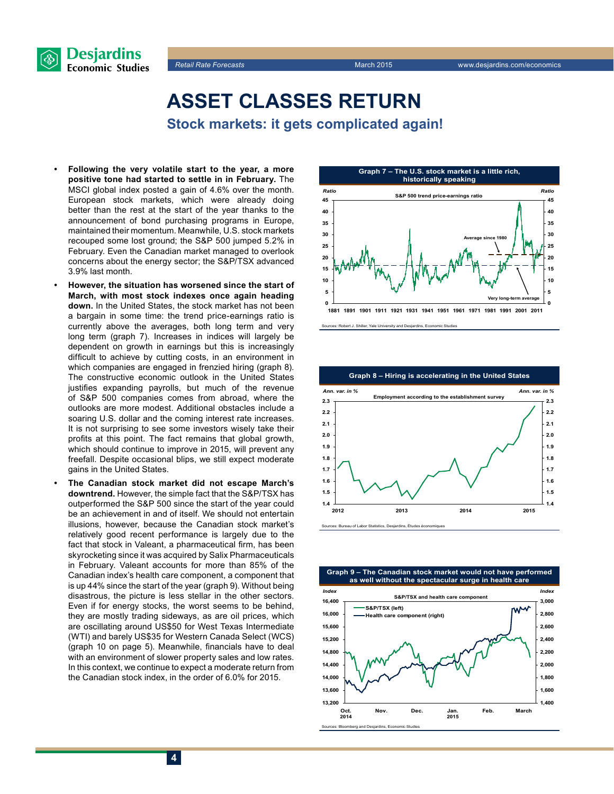



**Asset classes return Stock markets: it gets complicated again!**

- Following the very volatile start to the year, a more **positive tone had started to settle in in February.** The MSCI global index posted a gain of 4.6% over the month. European stock markets, which were already doing better than the rest at the start of the year thanks to the announcement of bond purchasing programs in Europe, maintained their momentum. Meanwhile, U.S. stock markets recouped some lost ground; the S&P 500 jumped 5.2% in February. Even the Canadian market managed to overlook concerns about the energy sector; the S&P/TSX advanced 3.9% last month.
- **However, the situation has worsened since the start of March, with most stock indexes once again heading down.** In the United States, the stock market has not been a bargain in some time: the trend price-earnings ratio is currently above the averages, both long term and very long term (graph 7). Increases in indices will largely be dependent on growth in earnings but this is increasingly difficult to achieve by cutting costs, in an environment in which companies are engaged in frenzied hiring (graph 8). The constructive economic outlook in the United States justifies expanding payrolls, but much of the revenue of S&P 500 companies comes from abroad, where the outlooks are more modest. Additional obstacles include a soaring U.S. dollar and the coming interest rate increases. It is not surprising to see some investors wisely take their profits at this point. The fact remains that global growth, which should continue to improve in 2015, will prevent any freefall. Despite occasional blips, we still expect moderate gains in the United States.
- The Canadian stock market did not escape March's **downtrend.** However, the simple fact that the S&P/TSX has outperformed the S&P 500 since the start of the year could be an achievement in and of itself. We should not entertain illusions, however, because the Canadian stock market's relatively good recent performance is largely due to the fact that stock in Valeant, a pharmaceutical firm, has been skyrocketing since it was acquired by Salix Pharmaceuticals in February. Valeant accounts for more than 85% of the Canadian index's health care component, a component that is up 44% since the start of the year (graph 9). Without being disastrous, the picture is less stellar in the other sectors. Even if for energy stocks, the worst seems to be behind, they are mostly trading sideways, as are oil prices, which are oscillating around US\$50 for West Texas Intermediate (WTI) and barely US\$35 for Western Canada Select (WCS) (graph 10 on page 5). Meanwhile, financials have to deal with an environment of slower property sales and low rates. In this context, we continue to expect a moderate return from the Canadian stock index, in the order of 6.0% for 2015.